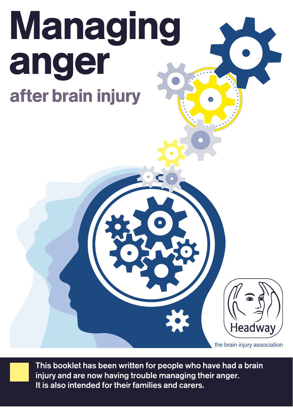# Managing anger after brain injury

the brain injury association

Headway

**This booklet has been written for people who have had a brain injury and are now having trouble managing their anger. It is also intended for their families and carers.**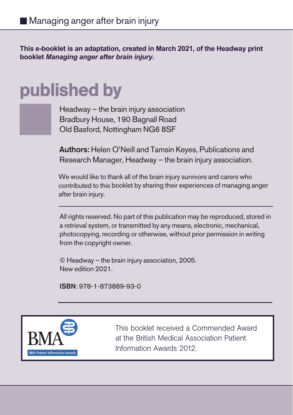**This e-booklet is an adaptation, created in March 2021, of the Headway print booklet** *Managing anger after brain injury***.**

# published by



Headway – the brain injury association Bradbury House, 190 Bagnall Road Old Basford, Nottingham NG6 8SF

**Authors:** Helen O'Neill and Tamsin Keyes, Publications and Research Manager, Headway – the brain injury association.

We would like to thank all of the brain injury survivors and carers who contributed to this booklet by sharing their experiences of managing anger after brain injury.

All rights reserved. No part of this publication may be reproduced, stored in a retrieval system, or transmitted by any means, electronic, mechanical, photocopying, recording or otherwise, without prior permission in writing from the copyright owner.

© Headway – the brain injury association, 2005. New edition 2021.

**ISBN**: 978-1-873889-93-0



This booklet received a Commended Award at the British Medical Association Patient Information Awards 2012.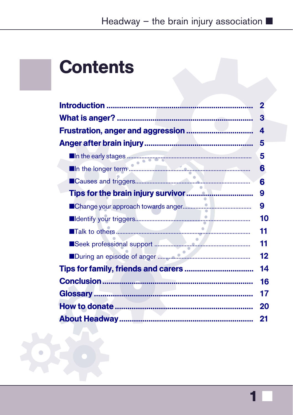# Headway - the brain injury association  $\blacksquare$

# **Contents**

| $\mathbf 2$ |
|-------------|
| 3           |
| 4           |
| 5           |
| 5           |
| 6           |
| 6           |
| 9           |
| 9           |
| 10          |
| 11          |
| 11          |
| 12          |
| 14          |
| 16          |
| 17          |
| 20          |
| 21          |

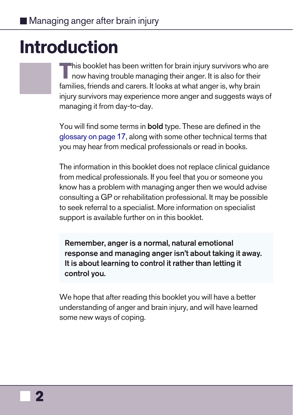■ Managing anger after brain injury

# Introduction

**T**his booklet has been written for brain injury survivors who are now having trouble managing their anger. It is also for their families, friends and carers. It looks at what anger is, why brain injury survivors may experience more anger and suggests ways of managing it from day-to-day.

You will find some terms in **bold** type. These are defined in the glossary on page 17, along with some other technical terms that you may hear from medical professionals or read in books.

The information in this booklet does not replace clinical guidance from medical professionals. If you feel that you or someone you know has a problem with managing anger then we would advise consulting a GP or rehabilitation professional. It may be possible to seek referral to a specialist. More information on specialist support is available further on in this booklet.

**Remember, anger is a normal, natural emotional response and managing anger isn't about taking it away. It is about learning to control it rather than letting it control you.** 

We hope that after reading this booklet you will have a better understanding of anger and brain injury, and will have learned some new ways of coping.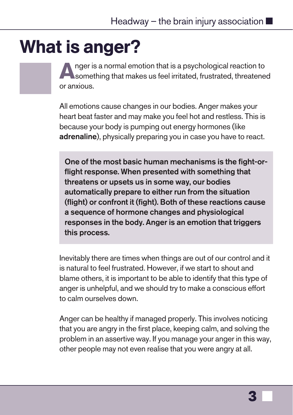# What is anger?

Anger is a normal emotion that is a psychological reaction to something that makes us feel irritated, frustrated, threatened or anxious.

All emotions cause changes in our bodies. Anger makes your heart beat faster and may make you feel hot and restless. This is because your body is pumping out energy hormones (like **adrenaline**), physically preparing you in case you have to react.

**One of the most basic human mechanisms is the fight-orflight response. When presented with something that threatens or upsets us in some way, our bodies automatically prepare to either run from the situation (flight) or confront it (fight). Both of these reactions cause a sequence of hormone changes and physiological responses in the body. Anger is an emotion that triggers this process.**

Inevitably there are times when things are out of our control and it is natural to feel frustrated. However, if we start to shout and blame others, it is important to be able to identify that this type of anger is unhelpful, and we should try to make a conscious effort to calm ourselves down.

Anger can be healthy if managed properly. This involves noticing that you are angry in the first place, keeping calm, and solving the problem in an assertive way. If you manage your anger in this way, other people may not even realise that you were angry at all.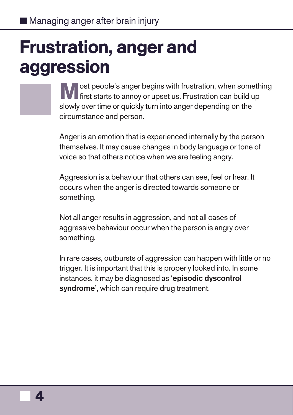# Frustration, anger and aggression

lost people's anger begins with frustration, when something **first starts to annoy or upset us. Frustration can build up** slowly over time or quickly turn into anger depending on the circumstance and person.

Anger is an emotion that is experienced internally by the person themselves. It may cause changes in body language or tone of voice so that others notice when we are feeling angry.

Aggression is a behaviour that others can see, feel or hear. It occurs when the anger is directed towards someone or something.

Not all anger results in aggression, and not all cases of aggressive behaviour occur when the person is angry over something.

In rare cases, outbursts of aggression can happen with little or no trigger. It is important that this is properly looked into. In some instances, it may be diagnosed as '**episodic dyscontrol syndrome**', which can require drug treatment.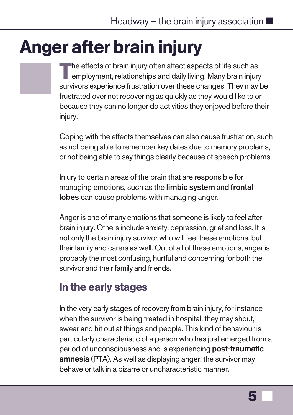# <span id="page-6-0"></span>Anger after brain injury

**T**he effects of brain injury often affect aspects of life such as employment, relationships and daily living. Many brain injury survivors experience frustration over these changes. They may be frustrated over not recovering as quickly as they would like to or because they can no longer do activities they enjoyed before their injury.

Coping with the effects themselves can also cause frustration, such as not being able to remember key dates due to memory problems, or not being able to say things clearly because of speech problems.

Injury to certain areas of the brain that are responsible for managing emotions, such as the **limbic system** and **frontal lobes** can cause problems with managing anger.

Anger is one of many emotions that someone is likely to feel after brain injury. Others include anxiety, depression, grief and loss. It is not only the brain injury survivor who will feel these emotions, but their family and carers as well. Out of all of these emotions, anger is probably the most confusing, hurtful and concerning for both the survivor and their family and friends.

# In the early stages

In the very early stages of recovery from brain injury, for instance when the survivor is being treated in hospital, they may shout, swear and hit out at things and people. This kind of behaviour is particularly characteristic of a person who has just emerged from a period of unconsciousness and is experiencing **post-traumatic amnesia** (PTA). As well as displaying anger, the survivor may behave or talk in a bizarre or uncharacteristic manner.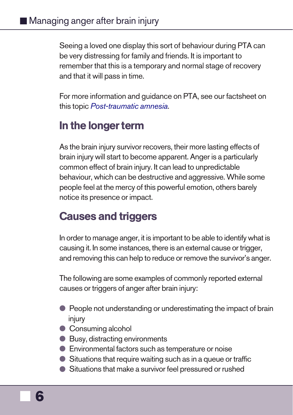### ■ Managing anger after brain injury

Seeing a loved one display this sort of behaviour during PTA can be very distressing for family and friends. It is important to remember that this is a temporary and normal stage of recovery and that it will pass in time.

For more information and guidance on PTA, see our factsheet on this topic Post-traumatic amnesia.

### In the longer term

As the brain injury survivor recovers, their more lasting effects of brain injury will start to become apparent. Anger is a particularly common effect of brain injury. It can lead to unpredictable behaviour, which can be destructive and aggressive. While some people feel at the mercy of this powerful emotion, others barely notice its presence or impact.

### Causes and triggers

In order to manage anger, it is important to be able to identify what is causing it. In some instances, there is an external cause or trigger, and removing this can help to reduce or remove the survivor's anger.

The following are some examples of commonly reported external causes or triggers of anger after brain injury:

- People not understanding or underestimating the impact of brain injury
- **Consuming alcohol**
- Busy, distracting environments
- **Environmental factors such as temperature or noise**
- Situations that require waiting such as in a queue or traffic
- l Situations that make a survivor feel pressured or rushed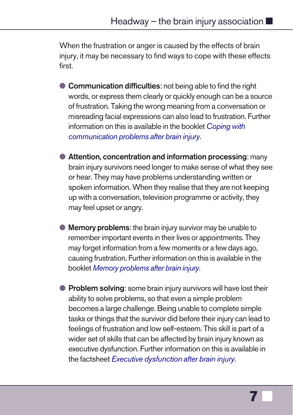#### Headway – the brain injury association  $\blacksquare$

When the frustration or anger is caused by the effects of brain injury, it may be necessary to find ways to cope with these effects first.

- **Communication difficulties**: not being able to find the right words, or express them clearly or quickly enough can be a source of frustration. Taking the wrong meaning from a conversation or misreading facial expressions can also lead to frustration. Further informa[tion on this is available in the bookle](https://www.headway.org.uk/media/8777/memory-problems-after-brain-injury-e-booklet.pdf)t Coping with communication problems after brain injury.
- **Attention, concentration and information processing: many** brain injury survivors need longer to make sense of what they see or hear. They may have problems understanding written or spoken information. When they realise that they are not keeping up with a conversation, television programme or activity, they may feel upset or angry.
- **Memory problems:** the brain injury survivor may be unable to remember important events in their lives or appointments. They may forget information from a few moments or a few days ago, causing frustration. Further information on this is available in the booklet Memory problems after brain injury.
- **Problem solving**: some brain injury survivors will have lost their ability to solve problems, so that even a simple problem becomes a large challenge. Being unable to complete simple tasks or things that the survivor did before their injury can lead to feelings of frustration and low self-esteem. This skill is part of a wider set of skills that can be affected by brain injury known as executive dysfunction. Further information on this is available in the factsheet Executive dysfunction after brain injury.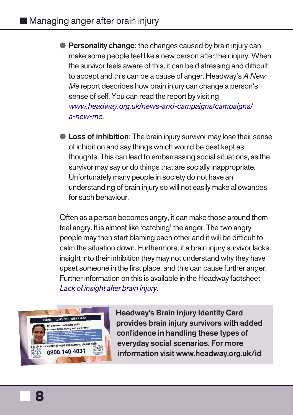### ■ Managing anger after brain injury

- **Personality change:** the changes caused by brain injury can make some people feel like a new person after their injury. When the survivor feels aware of this, it can be distressing and difficult to accept and this can be a cause of anger. Headway's A New Me report describes how brain injury can change a person's sense of self. You can read the report by visiting www.headway.org.uk/news-and-campaigns/campaigns/ a-new-me.
- **l Loss of inhibition**: The brain injury survivor may lose their sense [of inhibition and say things w](https://www.headway.org.uk/media/4091/lack-of-insight-after-brain-injury-factsheet.pdf)hich would be best kept as thoughts. This can lead to embarrassing social situations, as the survivor may say or do things that are socially inappropriate. Unfortunately many people in society do not have an understanding of brain injury so will not easily make allowances for such behaviour.

Often as a person becomes angry, it [can make those around them](https://www.headway.org.uk/supporting-you/brain-injury-identity-card/) feel angry. It is almost like 'catching' the anger. The two angry people may then start blaming each other and it will be difficult to calm the situation down. Furthermore, if a brain injury survivor lacks insight into their inhibition they may not understand why they have upset someone in the first place, and this can cause further anger. Further information on this is available in the Headway factsheet Lack of insight after brain injury.



**Headway's Brain Injury Identity Card provides brain injury survivors with added confidence in handling these types of everyday social scenarios. For more information visit www.headway.org.uk/id**

■ **8**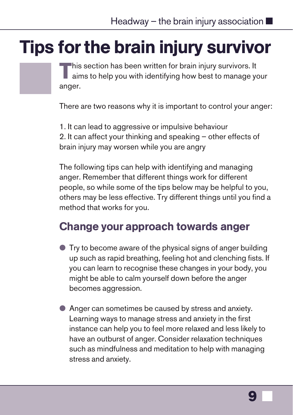# <span id="page-10-0"></span>Tips for the brain injury survivor

**T**his section has been written for brain injury survivors. It aims to help you with identifying how best to manage your anger.

There are two reasons why it is important to control your anger:

1. It can lead to aggressive or impulsive behaviour 2. It can affect your thinking and speaking – other effects of brain injury may worsen while you are angry

The following tips can help with identifying and managing anger. Remember that different things work for different people, so while some of the tips below may be helpful to you, others may be less effective. Try different things until you find a method that works for you.

## Change your approach towards anger

- $\bullet$  Try to become aware of the physical signs of anger building up such as rapid breathing, feeling hot and clenching fists. If you can learn to recognise these changes in your body, you might be able to calm yourself down before the anger becomes aggression.
- Anger can sometimes be caused by stress and anxiety. Learning ways to manage stress and anxiety in the first instance can help you to feel more relaxed and less likely to have an outburst of anger. Consider relaxation techniques such as mindfulness and meditation to help with managing stress and anxiety.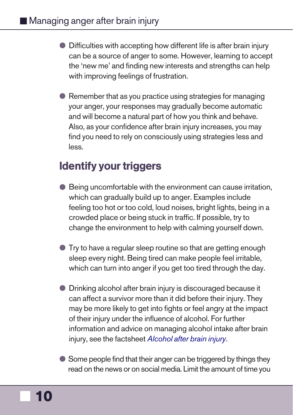### ■ Managing anger after brain injury

- **Difficulties with accepting how different life is after brain injury** can be a source of anger to some. However, learning to accept the 'new me' and finding new interests and strengths can help with improving feelings of frustration.
- $\bullet$  Remember that as you practice using strategies for managing your anger, your responses may gradually become automatic and will become a natural part of how you think and behave. Also, as your confidence after brain injury increases, you may find you need to rely on consciously using strategies less and less.

### Identify your triggers

- Being uncomfortable with the environment can cause irritation, which can gradually bui[ld up to anger. Examples i](https://www.headway.org.uk/media/7595/alcohol-after-brain-injury-factsheet.pdf)nclude feeling too hot or too cold, loud noises, bright lights, being in a crowded place or being stuck in traffic. If possible, try to change the environment to help with calming yourself down.
- l Try to have a regular sleep routine so that are getting enough sleep every night. Being tired can make people feel irritable, which can turn into anger if you get too tired through the day.
- **Drinking alcohol after brain injury is discouraged because it** can affect a survivor more than it did before their injury. They may be more likely to get into fights or feel angry at the impact of their injury under the influence of alcohol. For further information and advice on managing alcohol intake after brain injury, see the factsheet Alcohol after brain injury.
- Some people find that their anger can be triggered by things they read on the news or on social media. Limit the amount of time you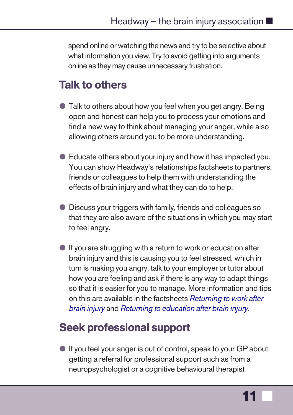#### <span id="page-12-0"></span>Headway – the brain injury association  $\blacksquare$

spend online or watching the news and try to be selective about what information you view. Try to avoid getting into arguments online as they may cause unnecessary frustration.

### Talk to others

- **Talk to others about how you feel when you get angry. Being** open and honest can help you to process your emotions and find a new way to think about managing your anger, while also allowing others around you to be more understanding.
- **E** Educate others about your injury and how it has impacted you. You can show Headway's relationsh[ips factsheets to partner](https://www.headway.org.uk/media/4130/returning-to-work-after-brain-injury-factsheet.pdf)s, [friends or co](https://www.headway.org.uk/media/4130/returning-to-work-after-brain-injury-factsheet.pdf)llea[gues to help them with understanding th](https://www.headway.org.uk/media/4126/returning-to-education-after-brain-injury-factsheet.pdf)e effects of brain injury and what they can do to help.
- **Discuss your triggers with family, friends and colleagues so** that they are also aware of the situations in which you may start to feel angry.
- $\bullet$  If you are struggling with a return to work or education after brain injury and this is causing you to feel stressed, which in turn is making you angry, talk to your employer or tutor about how you are feeling and ask if there is any way to adapt things so that it is easier for you to manage. More information and tips on this are available in the factsheets Returning to work after brain injury and Returning to education after brain injury.

### Seek professional support

l If you feel your anger is out of control, speak to your GP about getting a referral for professional support such as from a neuropsychologist or a cognitive behavioural therapist

**11** ■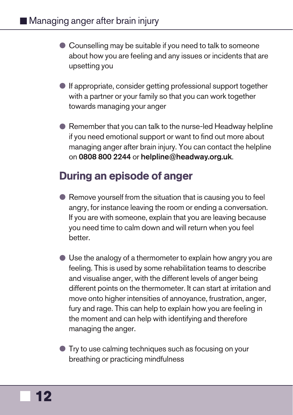- <span id="page-13-0"></span>● Counselling may be suitable if you need to talk to someone about how you are feeling and any issues or incidents that are upsetting you
- **If appropriate, consider getting professional support together** with a partner or your family so that you can work together towards managing your anger
- Remember that you can talk to the nurse-led Headway helpline if you need emotional support or want to find out more about managing anger after brain injury. You can contact the helpline on **0808 800 2244** or **helpline@headway.org.uk**.

### During an episode of anger

- $\bullet$  Remove yourself from the situation that is causing you to feel angry, for instance leaving the room or ending a conversation. If you are with someone, explain that you are leaving because you need time to calm down and will return when you feel better.
- $\bullet$  Use the analogy of a thermometer to explain how angry you are feeling. This is used by some rehabilitation teams to describe and visualise anger, with the different levels of anger being different points on the thermometer. It can start at irritation and move onto higher intensities of annoyance, frustration, anger, fury and rage. This can help to explain how you are feeling in the moment and can help with identifying and therefore managing the anger.

l Try to use calming techniques such as focusing on your breathing or practicing mindfulness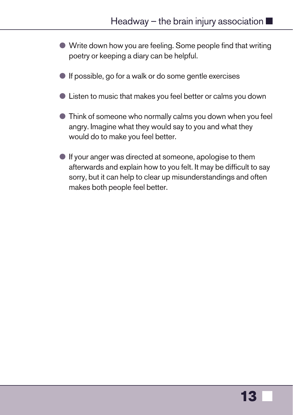- l Write down how you are feeling. Some people find that writing poetry or keeping a diary can be helpful.
- $\bullet$  If possible, go for a walk or do some gentle exercises
- l Listen to music that makes you feel better or calms you down
- l Think of someone who normally calms you down when you feel angry. Imagine what they would say to you and what they would do to make you feel better.
- $\bullet$  If your anger was directed at someone, apologise to them afterwards and explain how to you felt. It may be difficult to say sorry, but it can help to clear up misunderstandings and often makes both people feel better.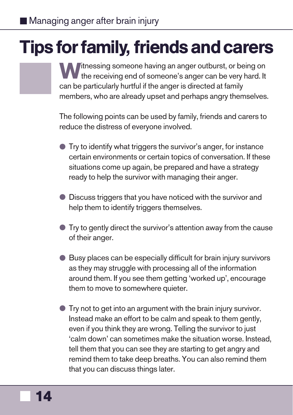# <span id="page-15-0"></span>Tips for family, friends and carers

**W**itnessing someone having an anger outburst, or being on the receiving end of someone's anger can be very hard. It can be particularly hurtful if the anger is directed at family members, who are already upset and perhaps angry themselves.

The following points can be used by family, friends and carers to reduce the distress of everyone involved.

- $\bullet$  Try to identify what triggers the survivor's anger, for instance certain environments or certain topics of conversation. If these situations come up again, be prepared and have a strategy ready to help the survivor with managing their anger.
- **Discuss triggers that you have noticed with the survivor and** help them to identify triggers themselves.
- $\bullet$  Try to gently direct the survivor's attention away from the cause of their anger.
- $\bullet$  Busy places can be especially difficult for brain injury survivors as they may struggle with processing all of the information around them. If you see them getting 'worked up', encourage them to move to somewhere quieter.
- l Try not to get into an argument with the brain injury survivor. Instead make an effort to be calm and speak to them gently, even if you think they are wrong. Telling the survivor to just 'calm down' can sometimes make the situation worse. Instead, tell them that you can see they are starting to get angry and remind them to take deep breaths. You can also remind them that you can discuss things later.

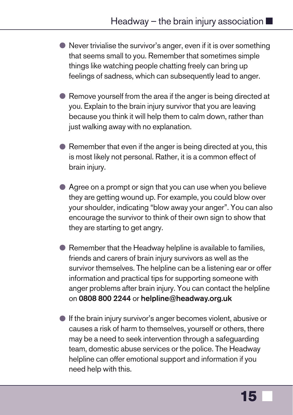- $\bullet$  Never trivialise the survivor's anger, even if it is over something that seems small to you. Remember that sometimes simple things like watching people chatting freely can bring up feelings of sadness, which can subsequently lead to anger.
- Remove yourself from the area if the anger is being directed at you. Explain to the brain injury survivor that you are leaving because you think it will help them to calm down, rather than just walking away with no explanation.
- $\bullet$  Remember that even if the anger is being directed at you, this is most likely not personal. Rather, it is a common effect of brain injury.
- Agree on a prompt or sign that you can use when you believe they are getting wound up. For example, you could blow over your shoulder, indicating "blow away your anger". You can also encourage the survivor to think of their own sign to show that they are starting to get angry.
- $\bullet$  Remember that the Headway helpline is available to families, friends and carers of brain injury survivors as well as the survivor themselves. The helpline can be a listening ear or offer information and practical tips for supporting someone with anger problems after brain injury. You can contact the helpline on **0808 800 2244** or **helpline@headway.org.uk**
- $\bullet$  If the brain injury survivor's anger becomes violent, abusive or causes a risk of harm to themselves, yourself or others, there may be a need to seek intervention through a safeguarding team, domestic abuse services or the police. The Headway helpline can offer emotional support and information if you need help with this.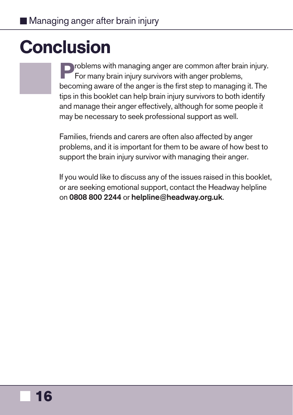# <span id="page-17-0"></span>**Conclusion**

**P**roblems with managing anger are common after brain injury. For many brain injury survivors with anger problems, becoming aware of the anger is the first step to managing it. The tips in this booklet can help brain injury survivors to both identify and manage their anger effectively, although for some people it may be necessary to seek professional support as well.

Families, friends and carers are often also affected by anger problems, and it is important for them to be aware of how best to support the brain injury survivor with managing their anger.

If you would like to discuss any of the issues raised in this booklet, or are seeking emotional support, contact the Headway helpline on **0808 800 2244** or **helpline@headway.org.uk**.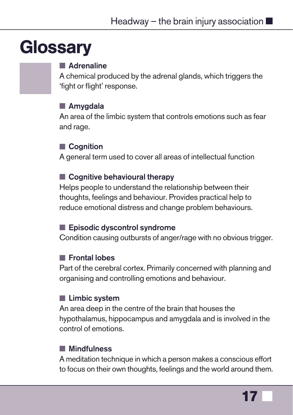# <span id="page-18-0"></span>**Glossary**

### $\blacksquare$  Adrenaline

A chemical produced by the adrenal glands, which triggers the 'fight or flight' response.

### **n** Amygdala

An area of the limbic system that controls emotions such as fear and rage.

#### ■ Cognition

A general term used to cover all areas of intellectual function

#### ■ Cognitive behavioural therapy

Helps people to understand the relationship between their thoughts, feelings and behaviour. Provides practical help to reduce emotional distress and change problem behaviours.

#### ■ Episodic dyscontrol syndrome

Condition causing outbursts of anger/rage with no obvious trigger.

### **n** Frontal lobes

Part of the cerebral cortex. Primarily concerned with planning and organising and controlling emotions and behaviour.

### **n** Limbic system

An area deep in the centre of the brain that houses the hypothalamus, hippocampus and amygdala and is involved in the control of emotions.

#### **n** Mindfulness

A meditation technique in which a person makes a conscious effort to focus on their own thoughts, feelings and the world around them.

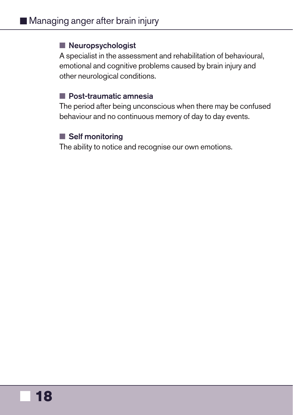#### **Neuropsychologist**

A specialist in the assessment and rehabilitation of behavioural, emotional and cognitive problems caused by brain injury and other neurological conditions.

#### ■ Post-traumatic amnesia

The period after being unconscious when there may be confused behaviour and no continuous memory of day to day events.

### **n** Self monitoring

The ability to notice and recognise our own emotions.

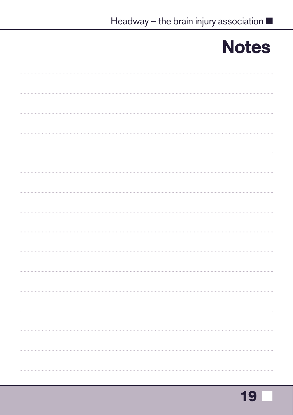# **Notes**

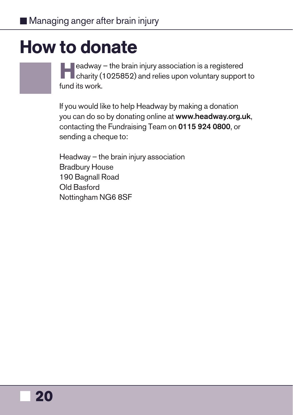# <span id="page-21-0"></span>How to donate

**Headway – the brain injury association is a registered charity (1025852) and relies upon voluntary support to** fund its work.

If you would like to help Headway by making a donation you can do so by donating online at **www.headway.org.uk**, contacting the Fundraising Team on **0115 924 0800**, or sending a cheque to:

Headway – the brain injury association Bradbury House 190 Bagnall Road Old Basford Nottingham NG6 8SF

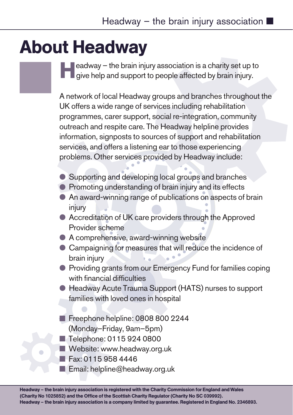# <span id="page-22-0"></span>About Headway

**H**eadway – the brain injury association is a charity set up to give help and support to people affected by brain injury.

A network of local Headway groups and branches throughout the UK offers a wide range of services including rehabilitation programmes, carer support, social re-integration, community outreach and respite care. The Headway helpline provides information, signposts to sources of support and rehabilitation services, and offers a listening ear to those experiencing problems. Other services provided by Headway include:

- l Supporting and developing local groups and branches
- **Promoting understanding of brain injury and its effects**
- An award-winning range of publications on aspects of brain injury
- Accreditation of UK care providers through the Approved Provider scheme
- $\bullet$  A comprehensive, award-winning website
- Campaigning for measures that will reduce the incidence of brain injury
- **Providing grants from our Emergency Fund for families coping** with financial difficulties
- l Headway Acute Trauma Support (HATS) nurses to support families with loved ones in hospital
- Freephone helpline: 0808 800 2244 (Monday–Friday, 9am–5pm)
- Telephone: 0115 924 0800
- Website: www.headway.org.uk
- Fax: 0115 958 4446
- $\blacksquare$  Email: helpline@headway.org.uk